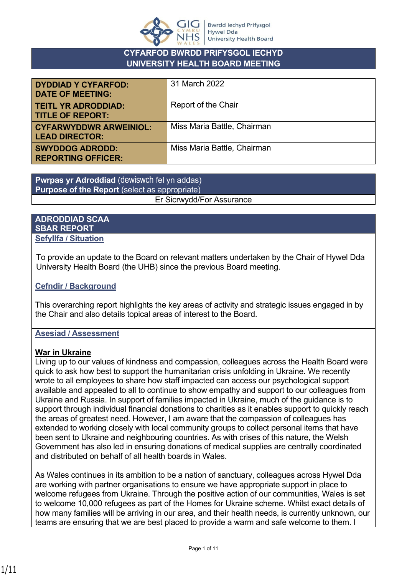

#### **CYFARFOD BWRDD PRIFYSGOL IECHYD UNIVERSITY HEALTH BOARD MEETING**

| <b>DYDDIAD Y CYFARFOD:</b><br><b>DATE OF MEETING:</b>  | 31 March 2022               |
|--------------------------------------------------------|-----------------------------|
| <b>TEITL YR ADRODDIAD:</b><br><b>TITLE OF REPORT:</b>  | Report of the Chair         |
| <b>CYFARWYDDWR ARWEINIOL:</b><br><b>LEAD DIRECTOR:</b> | Miss Maria Battle, Chairman |
| <b>SWYDDOG ADRODD:</b><br><b>REPORTING OFFICER:</b>    | Miss Maria Battle, Chairman |

**Pwrpas yr Adroddiad** (dewiswch fel yn addas) **Purpose of the Report** (select as appropriate) Er Sicrwydd/For Assurance

#### **ADRODDIAD SCAA SBAR REPORT Sefyllfa / Situation**

To provide an update to the Board on relevant matters undertaken by the Chair of Hywel Dda University Health Board (the UHB) since the previous Board meeting.

#### **Cefndir / Background**

This overarching report highlights the key areas of activity and strategic issues engaged in by the Chair and also details topical areas of interest to the Board.

#### **Asesiad / Assessment**

#### **War in Ukraine**

Living up to our values of kindness and compassion, colleagues across the Health Board were quick to ask how best to support the humanitarian crisis unfolding in Ukraine. We recently wrote to all employees to share how staff impacted can access our psychological support available and appealed to all to continue to show empathy and support to our colleagues from Ukraine and Russia. In support of families impacted in Ukraine, much of the guidance is to support through individual financial donations to charities as it enables support to quickly reach the areas of greatest need. However, I am aware that the compassion of colleagues has extended to working closely with local community groups to collect personal items that have been sent to Ukraine and neighbouring countries. As with crises of this nature, the Welsh Government has also led in ensuring donations of medical supplies are centrally coordinated and distributed on behalf of all health boards in Wales.

As Wales continues in its ambition to be a nation of sanctuary, colleagues across Hywel Dda are working with partner organisations to ensure we have appropriate support in place to welcome refugees from Ukraine. Through the positive action of our communities, Wales is set to welcome 10,000 refugees as part of the Homes for Ukraine scheme. Whilst exact details of how many families will be arriving in our area, and their health needs, is currently unknown, our teams are ensuring that we are best placed to provide a warm and safe welcome to them. I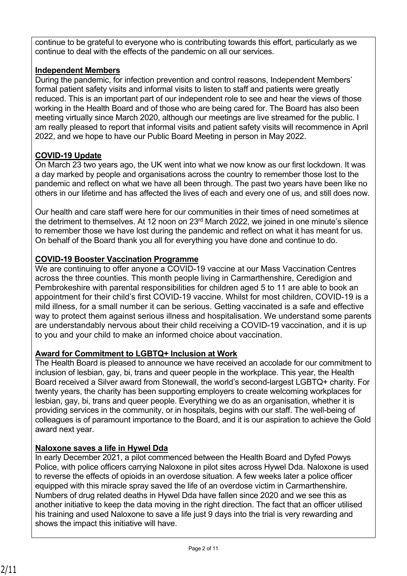continue to be grateful to everyone who is contributing towards this effort, particularly as we continue to deal with the effects of the pandemic on all our services.

### **Independent Members**

During the pandemic, for infection prevention and control reasons, Independent Members' formal patient safety visits and informal visits to listen to staff and patients were greatly reduced. This is an important part of our independent role to see and hear the views of those working in the Health Board and of those who are being cared for. The Board has also been meeting virtually since March 2020, although our meetings are live streamed for the public. I am really pleased to report that informal visits and patient safety visits will recommence in April 2022, and we hope to have our Public Board Meeting in person in May 2022.

### **COVID-19 Update**

On March 23 two years ago, the UK went into what we now know as our first lockdown. It was a day marked by people and organisations across the country to remember those lost to the pandemic and reflect on what we have all been through. The past two years have been like no others in our lifetime and has affected the lives of each and every one of us, and still does now.

Our health and care staff were here for our communities in their times of need sometimes at the detriment to themselves. At 12 noon on 23<sup>rd</sup> March 2022, we joined in one minute's silence to remember those we have lost during the pandemic and reflect on what it has meant for us. On behalf of the Board thank you all for everything you have done and continue to do.

### **COVID-19 Booster Vaccination Programme**

We are continuing to offer anyone a COVID-19 vaccine at our Mass Vaccination Centres across the three counties. This month people living in Carmarthenshire, Ceredigion and Pembrokeshire with parental responsibilities for children aged 5 to 11 are able to book an appointment for their child's first COVID-19 vaccine. Whilst for most children, COVID-19 is a mild illness, for a small number it can be serious. Getting vaccinated is a safe and effective way to protect them against serious illness and hospitalisation. We understand some parents are understandably nervous about their child receiving a COVID-19 vaccination, and it is up to you and your child to make an informed choice about vaccination.

#### **Award for Commitment to LGBTQ+ Inclusion at Work**

The Health Board is pleased to announce we have received an accolade for our commitment to inclusion of lesbian, gay, bi, trans and queer people in the workplace. This year, the Health Board received a Silver award from Stonewall, the world's second-largest LGBTQ+ charity. For twenty years, the charity has been supporting employers to create welcoming workplaces for lesbian, gay, bi, trans and queer people. Everything we do as an organisation, whether it is providing services in the community, or in hospitals, begins with our staff. The well-being of colleagues is of paramount importance to the Board, and it is our aspiration to achieve the Gold award next year.

### **Naloxone saves a life in Hywel Dda**

In early December 2021, a pilot commenced between the Health Board and Dyfed Powys Police, with police officers carrying Naloxone in pilot sites across Hywel Dda. Naloxone is used to reverse the effects of opioids in an overdose situation. A few weeks later a police officer equipped with this miracle spray saved the life of an overdose victim in Carmarthenshire. Numbers of drug related deaths in Hywel Dda have fallen since 2020 and we see this as another initiative to keep the data moving in the right direction. The fact that an officer utilised his training and used Naloxone to save a life just 9 days into the trial is very rewarding and shows the impact this initiative will have.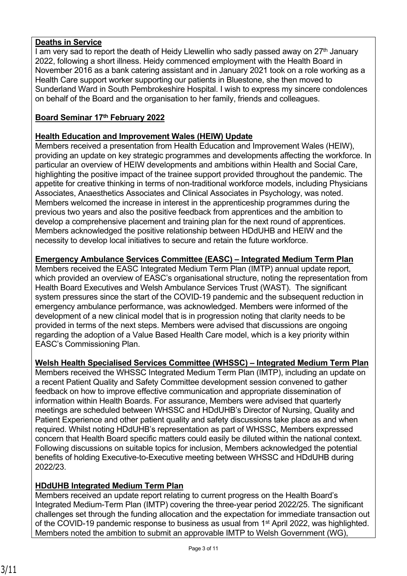### **Deaths in Service**

 $\overline{I}$  am very sad to report the death of Heidy Llewellin who sadly passed away on 27<sup>th</sup> January 2022, following a short illness. Heidy commenced employment with the Health Board in November 2016 as a bank catering assistant and in January 2021 took on a role working as a Health Care support worker supporting our patients in Bluestone, she then moved to Sunderland Ward in South Pembrokeshire Hospital. I wish to express my sincere condolences on behalf of the Board and the organisation to her family, friends and colleagues.

### **Board Seminar 17th February 2022**

### **Health Education and Improvement Wales (HEIW) Update**

Members received a presentation from Health Education and Improvement Wales (HEIW), providing an update on key strategic programmes and developments affecting the workforce. In particular an overview of HEIW developments and ambitions within Health and Social Care, highlighting the positive impact of the trainee support provided throughout the pandemic. The appetite for creative thinking in terms of non-traditional workforce models, including Physicians Associates, Anaesthetics Associates and Clinical Associates in Psychology, was noted. Members welcomed the increase in interest in the apprenticeship programmes during the previous two years and also the positive feedback from apprentices and the ambition to develop a comprehensive placement and training plan for the next round of apprentices. Members acknowledged the positive relationship between HDdUHB and HEIW and the necessity to develop local initiatives to secure and retain the future workforce.

#### **Emergency Ambulance Services Committee (EASC) – Integrated Medium Term Plan**

Members received the EASC Integrated Medium Term Plan (IMTP) annual update report, which provided an overview of EASC's organisational structure, noting the representation from Health Board Executives and Welsh Ambulance Services Trust (WAST). The significant system pressures since the start of the COVID-19 pandemic and the subsequent reduction in emergency ambulance performance, was acknowledged. Members were informed of the development of a new clinical model that is in progression noting that clarity needs to be provided in terms of the next steps. Members were advised that discussions are ongoing regarding the adoption of a Value Based Health Care model, which is a key priority within EASC's Commissioning Plan.

#### **Welsh Health Specialised Services Committee (WHSSC) – Integrated Medium Term Plan**

Members received the WHSSC Integrated Medium Term Plan (IMTP), including an update on a recent Patient Quality and Safety Committee development session convened to gather feedback on how to improve effective communication and appropriate dissemination of information within Health Boards. For assurance, Members were advised that quarterly meetings are scheduled between WHSSC and HDdUHB's Director of Nursing, Quality and Patient Experience and other patient quality and safety discussions take place as and when required. Whilst noting HDdUHB's representation as part of WHSSC, Members expressed concern that Health Board specific matters could easily be diluted within the national context. Following discussions on suitable topics for inclusion, Members acknowledged the potential benefits of holding Executive-to-Executive meeting between WHSSC and HDdUHB during 2022/23.

#### **HDdUHB Integrated Medium Term Plan**

Members received an update report relating to current progress on the Health Board's Integrated Medium-Term Plan (IMTP) covering the three-year period 2022/25. The significant challenges set through the funding allocation and the expectation for immediate transaction out of the COVID-19 pandemic response to business as usual from 1st April 2022, was highlighted. Members noted the ambition to submit an approvable IMTP to Welsh Government (WG),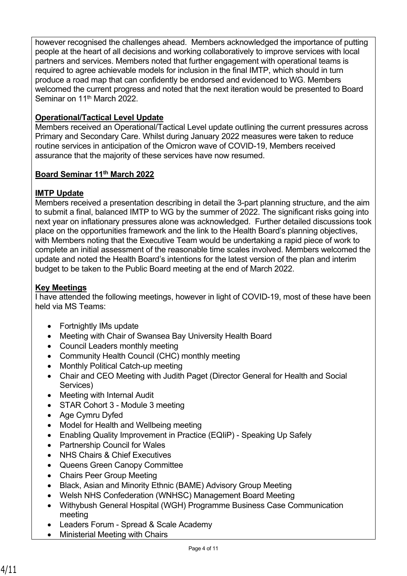however recognised the challenges ahead. Members acknowledged the importance of putting people at the heart of all decisions and working collaboratively to improve services with local partners and services. Members noted that further engagement with operational teams is required to agree achievable models for inclusion in the final IMTP, which should in turn produce a road map that can confidently be endorsed and evidenced to WG. Members welcomed the current progress and noted that the next iteration would be presented to Board Seminar on 11<sup>th</sup> March 2022.

### **Operational/Tactical Level Update**

Members received an Operational/Tactical Level update outlining the current pressures across Primary and Secondary Care. Whilst during January 2022 measures were taken to reduce routine services in anticipation of the Omicron wave of COVID-19, Members received assurance that the majority of these services have now resumed.

### **Board Seminar 11th March 2022**

### **IMTP Update**

Members received a presentation describing in detail the 3-part planning structure, and the aim to submit a final, balanced IMTP to WG by the summer of 2022. The significant risks going into next year on inflationary pressures alone was acknowledged. Further detailed discussions took place on the opportunities framework and the link to the Health Board's planning objectives, with Members noting that the Executive Team would be undertaking a rapid piece of work to complete an initial assessment of the reasonable time scales involved. Members welcomed the update and noted the Health Board's intentions for the latest version of the plan and interim budget to be taken to the Public Board meeting at the end of March 2022.

### **Key Meetings**

I have attended the following meetings, however in light of COVID-19, most of these have been held via MS Teams:

- Fortnightly IMs update
- Meeting with Chair of Swansea Bay University Health Board
- Council Leaders monthly meeting
- Community Health Council (CHC) monthly meeting
- Monthly Political Catch-up meeting
- Chair and CEO Meeting with Judith Paget (Director General for Health and Social Services)
- Meeting with Internal Audit
- STAR Cohort 3 Module 3 meeting
- Age Cymru Dyfed
- Model for Health and Wellbeing meeting
- Enabling Quality Improvement in Practice (EQIiP) Speaking Up Safely
- Partnership Council for Wales
- NHS Chairs & Chief Executives
- Queens Green Canopy Committee
- Chairs Peer Group Meeting
- Black, Asian and Minority Ethnic (BAME) Advisory Group Meeting
- Welsh NHS Confederation (WNHSC) Management Board Meeting
- Withybush General Hospital (WGH) Programme Business Case Communication meeting
- Leaders Forum Spread & Scale Academy
- Ministerial Meeting with Chairs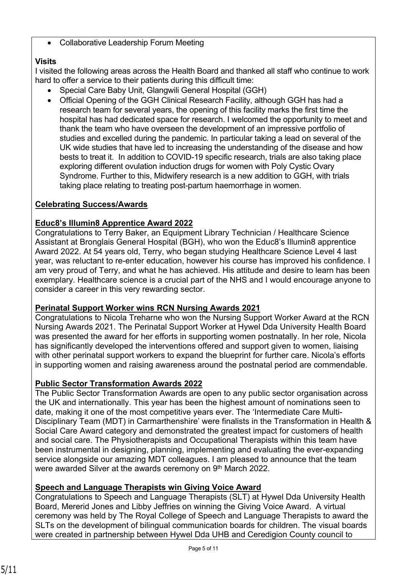Collaborative Leadership Forum Meeting

## **Visits**

I visited the following areas across the Health Board and thanked all staff who continue to work hard to offer a service to their patients during this difficult time:

- Special Care Baby Unit, Glangwili General Hospital (GGH)
- Official Opening of the GGH Clinical Research Facility, although GGH has had a research team for several years, the opening of this facility marks the first time the hospital has had dedicated space for research. I welcomed the opportunity to meet and thank the team who have overseen the development of an impressive portfolio of studies and excelled during the pandemic. In particular taking a lead on several of the UK wide studies that have led to increasing the understanding of the disease and how bests to treat it. In addition to COVID-19 specific research, trials are also taking place exploring different ovulation induction drugs for women with Poly Cystic Ovary Syndrome. Further to this, Midwifery research is a new addition to GGH, with trials taking place relating to treating post-partum haemorrhage in women.

# **Celebrating Success/Awards**

## **Educ8's Illumin8 Apprentice Award 2022**

Congratulations to Terry Baker, an Equipment Library Technician / Healthcare Science Assistant at Bronglais General Hospital (BGH), who won the Educ8's Illumin8 apprentice Award 2022. At 54 years old, Terry, who began studying Healthcare Science Level 4 last year, was reluctant to re-enter education, however his course has improved his confidence. I am very proud of Terry, and what he has achieved. His attitude and desire to learn has been exemplary. Healthcare science is a crucial part of the NHS and I would encourage anyone to consider a career in this very rewarding sector.

### **Perinatal Support Worker wins RCN Nursing Awards 2021**

Congratulations to Nicola Treharne who won the Nursing Support Worker Award at the RCN Nursing Awards 2021. The Perinatal Support Worker at Hywel Dda University Health Board was presented the award for her efforts in supporting women postnatally. In her role, Nicola has significantly developed the interventions offered and support given to women, liaising with other perinatal support workers to expand the blueprint for further care. Nicola's efforts in supporting women and raising awareness around the postnatal period are commendable.

# **Public Sector Transformation Awards 2022**

The Public Sector Transformation Awards are open to any public sector organisation across the UK and internationally. This year has been the highest amount of nominations seen to date, making it one of the most competitive years ever. The 'Intermediate Care Multi-Disciplinary Team (MDT) in Carmarthenshire' were finalists in the Transformation in Health & Social Care Award category and demonstrated the greatest impact for customers of health and social care. The Physiotherapists and Occupational Therapists within this team have been instrumental in designing, planning, implementing and evaluating the ever-expanding service alongside our amazing MDT colleagues. I am pleased to announce that the team were awarded Silver at the awards ceremony on 9<sup>th</sup> March 2022.

### **Speech and Language Therapists win Giving Voice Award**

Congratulations to Speech and Language Therapists (SLT) at Hywel Dda University Health Board, Mererid Jones and Libby Jeffries on winning the Giving Voice Award. A virtual ceremony was held by The Royal College of Speech and Language Therapists to award the SLTs on the development of bilingual communication boards for children. The visual boards were created in partnership between Hywel Dda UHB and Ceredigion County council to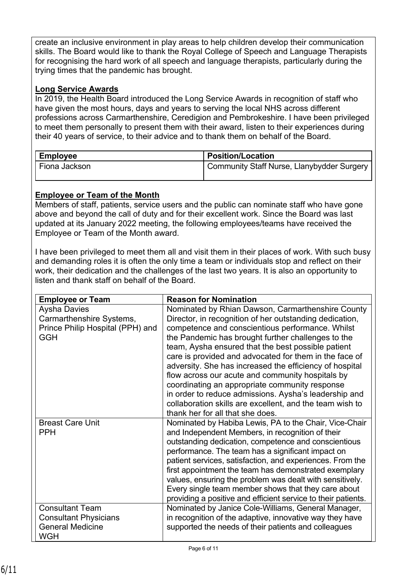create an inclusive environment in play areas to help children develop their communication skills. The Board would like to thank the Royal College of Speech and Language Therapists for recognising the hard work of all speech and language therapists, particularly during the trying times that the pandemic has brought.

### **Long Service Awards**

In 2019, the Health Board introduced the Long Service Awards in recognition of staff who have given the most hours, days and years to serving the local NHS across different professions across Carmarthenshire, Ceredigion and Pembrokeshire. I have been privileged to meet them personally to present them with their award, listen to their experiences during their 40 years of service, to their advice and to thank them on behalf of the Board.

| <b>Employee</b> | <b>Position/Location</b>                   |
|-----------------|--------------------------------------------|
| Fiona Jackson   | Community Staff Nurse, Llanybydder Surgery |

### **Employee or Team of the Month**

Members of staff, patients, service users and the public can nominate staff who have gone above and beyond the call of duty and for their excellent work. Since the Board was last updated at its January 2022 meeting, the following employees/teams have received the Employee or Team of the Month award.

I have been privileged to meet them all and visit them in their places of work. With such busy and demanding roles it is often the only time a team or individuals stop and reflect on their work, their dedication and the challenges of the last two years. It is also an opportunity to listen and thank staff on behalf of the Board.

| <b>Aysha Davies</b><br>Nominated by Rhian Dawson, Carmarthenshire County<br>Director, in recognition of her outstanding dedication,<br>Carmarthenshire Systems,<br>Prince Philip Hospital (PPH) and<br>competence and conscientious performance. Whilst<br><b>GGH</b><br>the Pandemic has brought further challenges to the<br>team, Aysha ensured that the best possible patient<br>care is provided and advocated for them in the face of<br>adversity. She has increased the efficiency of hospital<br>flow across our acute and community hospitals by<br>coordinating an appropriate community response<br>in order to reduce admissions. Aysha's leadership and<br>collaboration skills are excellent, and the team wish to<br>thank her for all that she does. | <b>Employee or Team</b> | <b>Reason for Nomination</b>                           |
|-----------------------------------------------------------------------------------------------------------------------------------------------------------------------------------------------------------------------------------------------------------------------------------------------------------------------------------------------------------------------------------------------------------------------------------------------------------------------------------------------------------------------------------------------------------------------------------------------------------------------------------------------------------------------------------------------------------------------------------------------------------------------|-------------------------|--------------------------------------------------------|
|                                                                                                                                                                                                                                                                                                                                                                                                                                                                                                                                                                                                                                                                                                                                                                       |                         |                                                        |
|                                                                                                                                                                                                                                                                                                                                                                                                                                                                                                                                                                                                                                                                                                                                                                       |                         |                                                        |
|                                                                                                                                                                                                                                                                                                                                                                                                                                                                                                                                                                                                                                                                                                                                                                       |                         |                                                        |
|                                                                                                                                                                                                                                                                                                                                                                                                                                                                                                                                                                                                                                                                                                                                                                       |                         |                                                        |
|                                                                                                                                                                                                                                                                                                                                                                                                                                                                                                                                                                                                                                                                                                                                                                       |                         |                                                        |
|                                                                                                                                                                                                                                                                                                                                                                                                                                                                                                                                                                                                                                                                                                                                                                       |                         |                                                        |
|                                                                                                                                                                                                                                                                                                                                                                                                                                                                                                                                                                                                                                                                                                                                                                       |                         |                                                        |
|                                                                                                                                                                                                                                                                                                                                                                                                                                                                                                                                                                                                                                                                                                                                                                       |                         |                                                        |
|                                                                                                                                                                                                                                                                                                                                                                                                                                                                                                                                                                                                                                                                                                                                                                       |                         |                                                        |
|                                                                                                                                                                                                                                                                                                                                                                                                                                                                                                                                                                                                                                                                                                                                                                       |                         |                                                        |
|                                                                                                                                                                                                                                                                                                                                                                                                                                                                                                                                                                                                                                                                                                                                                                       |                         |                                                        |
|                                                                                                                                                                                                                                                                                                                                                                                                                                                                                                                                                                                                                                                                                                                                                                       |                         |                                                        |
|                                                                                                                                                                                                                                                                                                                                                                                                                                                                                                                                                                                                                                                                                                                                                                       | <b>Breast Care Unit</b> | Nominated by Habiba Lewis, PA to the Chair, Vice-Chair |
| and Independent Members, in recognition of their<br><b>PPH</b>                                                                                                                                                                                                                                                                                                                                                                                                                                                                                                                                                                                                                                                                                                        |                         |                                                        |
| outstanding dedication, competence and conscientious                                                                                                                                                                                                                                                                                                                                                                                                                                                                                                                                                                                                                                                                                                                  |                         |                                                        |
| performance. The team has a significant impact on                                                                                                                                                                                                                                                                                                                                                                                                                                                                                                                                                                                                                                                                                                                     |                         |                                                        |
| patient services, satisfaction, and experiences. From the                                                                                                                                                                                                                                                                                                                                                                                                                                                                                                                                                                                                                                                                                                             |                         |                                                        |
| first appointment the team has demonstrated exemplary                                                                                                                                                                                                                                                                                                                                                                                                                                                                                                                                                                                                                                                                                                                 |                         |                                                        |
| values, ensuring the problem was dealt with sensitively.                                                                                                                                                                                                                                                                                                                                                                                                                                                                                                                                                                                                                                                                                                              |                         |                                                        |
| Every single team member shows that they care about                                                                                                                                                                                                                                                                                                                                                                                                                                                                                                                                                                                                                                                                                                                   |                         |                                                        |
| providing a positive and efficient service to their patients.<br><b>Consultant Team</b><br>Nominated by Janice Cole-Williams, General Manager,                                                                                                                                                                                                                                                                                                                                                                                                                                                                                                                                                                                                                        |                         |                                                        |
| in recognition of the adaptive, innovative way they have<br><b>Consultant Physicians</b>                                                                                                                                                                                                                                                                                                                                                                                                                                                                                                                                                                                                                                                                              |                         |                                                        |
| <b>General Medicine</b><br>supported the needs of their patients and colleagues                                                                                                                                                                                                                                                                                                                                                                                                                                                                                                                                                                                                                                                                                       |                         |                                                        |
| <b>WGH</b>                                                                                                                                                                                                                                                                                                                                                                                                                                                                                                                                                                                                                                                                                                                                                            |                         |                                                        |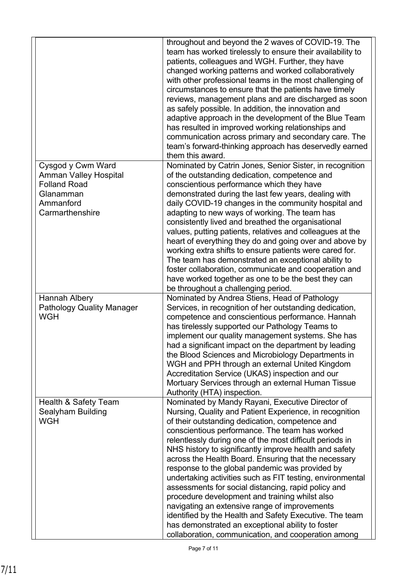|                                                                                                                       | throughout and beyond the 2 waves of COVID-19. The<br>team has worked tirelessly to ensure their availability to<br>patients, colleagues and WGH. Further, they have<br>changed working patterns and worked collaboratively<br>with other professional teams in the most challenging of<br>circumstances to ensure that the patients have timely<br>reviews, management plans and are discharged as soon<br>as safely possible. In addition, the innovation and<br>adaptive approach in the development of the Blue Team<br>has resulted in improved working relationships and<br>communication across primary and secondary care. The<br>team's forward-thinking approach has deservedly earned<br>them this award.                                                                                                                            |
|-----------------------------------------------------------------------------------------------------------------------|-------------------------------------------------------------------------------------------------------------------------------------------------------------------------------------------------------------------------------------------------------------------------------------------------------------------------------------------------------------------------------------------------------------------------------------------------------------------------------------------------------------------------------------------------------------------------------------------------------------------------------------------------------------------------------------------------------------------------------------------------------------------------------------------------------------------------------------------------|
| Cysgod y Cwm Ward<br><b>Amman Valley Hospital</b><br><b>Folland Road</b><br>Glanamman<br>Ammanford<br>Carmarthenshire | Nominated by Catrin Jones, Senior Sister, in recognition<br>of the outstanding dedication, competence and<br>conscientious performance which they have<br>demonstrated during the last few years, dealing with<br>daily COVID-19 changes in the community hospital and<br>adapting to new ways of working. The team has<br>consistently lived and breathed the organisational<br>values, putting patients, relatives and colleagues at the<br>heart of everything they do and going over and above by<br>working extra shifts to ensure patients were cared for.<br>The team has demonstrated an exceptional ability to<br>foster collaboration, communicate and cooperation and<br>have worked together as one to be the best they can<br>be throughout a challenging period.                                                                  |
| Hannah Albery<br><b>Pathology Quality Manager</b><br><b>WGH</b>                                                       | Nominated by Andrea Stiens, Head of Pathology<br>Services, in recognition of her outstanding dedication,<br>competence and conscientious performance. Hannah<br>has tirelessly supported our Pathology Teams to<br>implement our quality management systems. She has<br>had a significant impact on the department by leading<br>the Blood Sciences and Microbiology Departments in<br>WGH and PPH through an external United Kingdom<br>Accreditation Service (UKAS) inspection and our<br>Mortuary Services through an external Human Tissue<br>Authority (HTA) inspection.                                                                                                                                                                                                                                                                   |
| <b>Health &amp; Safety Team</b><br>Sealyham Building<br><b>WGH</b>                                                    | Nominated by Mandy Rayani, Executive Director of<br>Nursing, Quality and Patient Experience, in recognition<br>of their outstanding dedication, competence and<br>conscientious performance. The team has worked<br>relentlessly during one of the most difficult periods in<br>NHS history to significantly improve health and safety<br>across the Health Board. Ensuring that the necessary<br>response to the global pandemic was provided by<br>undertaking activities such as FIT testing, environmental<br>assessments for social distancing, rapid policy and<br>procedure development and training whilst also<br>navigating an extensive range of improvements<br>identified by the Health and Safety Executive. The team<br>has demonstrated an exceptional ability to foster<br>collaboration, communication, and cooperation among |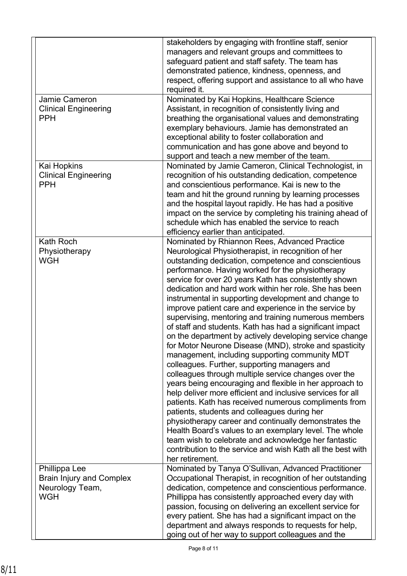| Jamie Cameron<br><b>Clinical Engineering</b><br><b>PPH</b>                        | stakeholders by engaging with frontline staff, senior<br>managers and relevant groups and committees to<br>safeguard patient and staff safety. The team has<br>demonstrated patience, kindness, openness, and<br>respect, offering support and assistance to all who have<br>required it.<br>Nominated by Kai Hopkins, Healthcare Science<br>Assistant, in recognition of consistently living and<br>breathing the organisational values and demonstrating<br>exemplary behaviours. Jamie has demonstrated an<br>exceptional ability to foster collaboration and<br>communication and has gone above and beyond to<br>support and teach a new member of the team.                                                                                                                                                                                                                                                                                                                                                                                                                                                                                                                                                                                                                                                                                      |
|-----------------------------------------------------------------------------------|--------------------------------------------------------------------------------------------------------------------------------------------------------------------------------------------------------------------------------------------------------------------------------------------------------------------------------------------------------------------------------------------------------------------------------------------------------------------------------------------------------------------------------------------------------------------------------------------------------------------------------------------------------------------------------------------------------------------------------------------------------------------------------------------------------------------------------------------------------------------------------------------------------------------------------------------------------------------------------------------------------------------------------------------------------------------------------------------------------------------------------------------------------------------------------------------------------------------------------------------------------------------------------------------------------------------------------------------------------|
| Kai Hopkins<br><b>Clinical Engineering</b><br><b>PPH</b>                          | Nominated by Jamie Cameron, Clinical Technologist, in<br>recognition of his outstanding dedication, competence<br>and conscientious performance. Kai is new to the<br>team and hit the ground running by learning processes<br>and the hospital layout rapidly. He has had a positive<br>impact on the service by completing his training ahead of<br>schedule which has enabled the service to reach<br>efficiency earlier than anticipated.                                                                                                                                                                                                                                                                                                                                                                                                                                                                                                                                                                                                                                                                                                                                                                                                                                                                                                          |
| <b>Kath Roch</b><br>Physiotherapy<br><b>WGH</b>                                   | Nominated by Rhiannon Rees, Advanced Practice<br>Neurological Physiotherapist, in recognition of her<br>outstanding dedication, competence and conscientious<br>performance. Having worked for the physiotherapy<br>service for over 20 years Kath has consistently shown<br>dedication and hard work within her role. She has been<br>instrumental in supporting development and change to<br>improve patient care and experience in the service by<br>supervising, mentoring and training numerous members<br>of staff and students. Kath has had a significant impact<br>on the department by actively developing service change<br>for Motor Neurone Disease (MND), stroke and spasticity<br>management, including supporting community MDT<br>colleagues. Further, supporting managers and<br>colleagues through multiple service changes over the<br>years being encouraging and flexible in her approach to<br>help deliver more efficient and inclusive services for all<br>patients. Kath has received numerous compliments from<br>patients, students and colleagues during her<br>physiotherapy career and continually demonstrates the<br>Health Board's values to an exemplary level. The whole<br>team wish to celebrate and acknowledge her fantastic<br>contribution to the service and wish Kath all the best with<br>her retirement. |
| Phillippa Lee<br><b>Brain Injury and Complex</b><br>Neurology Team,<br><b>WGH</b> | Nominated by Tanya O'Sullivan, Advanced Practitioner<br>Occupational Therapist, in recognition of her outstanding<br>dedication, competence and conscientious performance.<br>Phillippa has consistently approached every day with<br>passion, focusing on delivering an excellent service for<br>every patient. She has had a significant impact on the<br>department and always responds to requests for help,<br>going out of her way to support colleagues and the                                                                                                                                                                                                                                                                                                                                                                                                                                                                                                                                                                                                                                                                                                                                                                                                                                                                                 |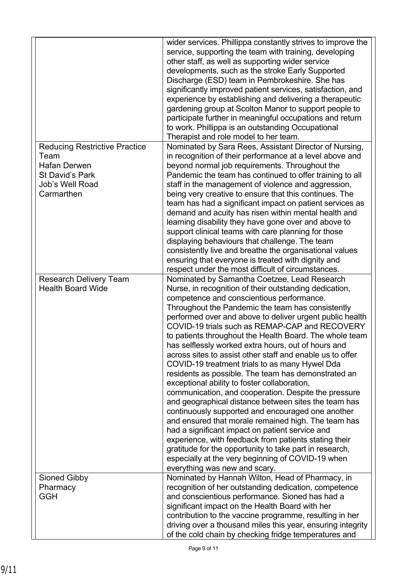| <b>Reducing Restrictive Practice</b>          | wider services. Phillippa constantly strives to improve the<br>service, supporting the team with training, developing<br>other staff, as well as supporting wider service<br>developments, such as the stroke Early Supported<br>Discharge (ESD) team in Pembrokeshire. She has<br>significantly improved patient services, satisfaction, and<br>experience by establishing and delivering a therapeutic<br>gardening group at Scolton Manor to support people to<br>participate further in meaningful occupations and return<br>to work. Phillippa is an outstanding Occupational<br>Therapist and role model to her team.<br>Nominated by Sara Rees, Assistant Director of Nursing, |
|-----------------------------------------------|---------------------------------------------------------------------------------------------------------------------------------------------------------------------------------------------------------------------------------------------------------------------------------------------------------------------------------------------------------------------------------------------------------------------------------------------------------------------------------------------------------------------------------------------------------------------------------------------------------------------------------------------------------------------------------------|
| Team                                          | in recognition of their performance at a level above and                                                                                                                                                                                                                                                                                                                                                                                                                                                                                                                                                                                                                              |
| <b>Hafan Derwen</b><br><b>St David's Park</b> | beyond normal job requirements. Throughout the<br>Pandemic the team has continued to offer training to all                                                                                                                                                                                                                                                                                                                                                                                                                                                                                                                                                                            |
| Job's Well Road                               | staff in the management of violence and aggression,                                                                                                                                                                                                                                                                                                                                                                                                                                                                                                                                                                                                                                   |
| Carmarthen                                    | being very creative to ensure that this continues. The                                                                                                                                                                                                                                                                                                                                                                                                                                                                                                                                                                                                                                |
|                                               | team has had a significant impact on patient services as                                                                                                                                                                                                                                                                                                                                                                                                                                                                                                                                                                                                                              |
|                                               | demand and acuity has risen within mental health and                                                                                                                                                                                                                                                                                                                                                                                                                                                                                                                                                                                                                                  |
|                                               | learning disability they have gone over and above to                                                                                                                                                                                                                                                                                                                                                                                                                                                                                                                                                                                                                                  |
|                                               | support clinical teams with care planning for those                                                                                                                                                                                                                                                                                                                                                                                                                                                                                                                                                                                                                                   |
|                                               | displaying behaviours that challenge. The team                                                                                                                                                                                                                                                                                                                                                                                                                                                                                                                                                                                                                                        |
|                                               | consistently live and breathe the organisational values                                                                                                                                                                                                                                                                                                                                                                                                                                                                                                                                                                                                                               |
|                                               | ensuring that everyone is treated with dignity and<br>respect under the most difficult of circumstances.                                                                                                                                                                                                                                                                                                                                                                                                                                                                                                                                                                              |
| <b>Research Delivery Team</b>                 | Nominated by Samantha Coetzee, Lead Research                                                                                                                                                                                                                                                                                                                                                                                                                                                                                                                                                                                                                                          |
| <b>Health Board Wide</b>                      | Nurse, in recognition of their outstanding dedication,                                                                                                                                                                                                                                                                                                                                                                                                                                                                                                                                                                                                                                |
|                                               | competence and conscientious performance.                                                                                                                                                                                                                                                                                                                                                                                                                                                                                                                                                                                                                                             |
|                                               | Throughout the Pandemic the team has consistently                                                                                                                                                                                                                                                                                                                                                                                                                                                                                                                                                                                                                                     |
|                                               | performed over and above to deliver urgent public health                                                                                                                                                                                                                                                                                                                                                                                                                                                                                                                                                                                                                              |
|                                               | COVID-19 trials such as REMAP-CAP and RECOVERY                                                                                                                                                                                                                                                                                                                                                                                                                                                                                                                                                                                                                                        |
|                                               | to patients throughout the Health Board. The whole team<br>has selflessly worked extra hours, out of hours and                                                                                                                                                                                                                                                                                                                                                                                                                                                                                                                                                                        |
|                                               | across sites to assist other staff and enable us to offer                                                                                                                                                                                                                                                                                                                                                                                                                                                                                                                                                                                                                             |
|                                               | COVID-19 treatment trials to as many Hywel Dda                                                                                                                                                                                                                                                                                                                                                                                                                                                                                                                                                                                                                                        |
|                                               | residents as possible. The team has demonstrated an                                                                                                                                                                                                                                                                                                                                                                                                                                                                                                                                                                                                                                   |
|                                               | exceptional ability to foster collaboration,                                                                                                                                                                                                                                                                                                                                                                                                                                                                                                                                                                                                                                          |
|                                               | communication, and cooperation. Despite the pressure                                                                                                                                                                                                                                                                                                                                                                                                                                                                                                                                                                                                                                  |
|                                               | and geographical distance between sites the team has                                                                                                                                                                                                                                                                                                                                                                                                                                                                                                                                                                                                                                  |
|                                               | continuously supported and encouraged one another                                                                                                                                                                                                                                                                                                                                                                                                                                                                                                                                                                                                                                     |
|                                               | and ensured that morale remained high. The team has<br>had a significant impact on patient service and                                                                                                                                                                                                                                                                                                                                                                                                                                                                                                                                                                                |
|                                               | experience, with feedback from patients stating their                                                                                                                                                                                                                                                                                                                                                                                                                                                                                                                                                                                                                                 |
|                                               | gratitude for the opportunity to take part in research,                                                                                                                                                                                                                                                                                                                                                                                                                                                                                                                                                                                                                               |
|                                               | especially at the very beginning of COVID-19 when                                                                                                                                                                                                                                                                                                                                                                                                                                                                                                                                                                                                                                     |
|                                               | everything was new and scary.                                                                                                                                                                                                                                                                                                                                                                                                                                                                                                                                                                                                                                                         |
| <b>Sioned Gibby</b>                           | Nominated by Hannah Wilton, Head of Pharmacy, in                                                                                                                                                                                                                                                                                                                                                                                                                                                                                                                                                                                                                                      |
| Pharmacy                                      | recognition of her outstanding dedication, competence                                                                                                                                                                                                                                                                                                                                                                                                                                                                                                                                                                                                                                 |
| <b>GGH</b>                                    | and conscientious performance. Sioned has had a                                                                                                                                                                                                                                                                                                                                                                                                                                                                                                                                                                                                                                       |
|                                               | significant impact on the Health Board with her<br>contribution to the vaccine programme, resulting in her                                                                                                                                                                                                                                                                                                                                                                                                                                                                                                                                                                            |
|                                               | driving over a thousand miles this year, ensuring integrity                                                                                                                                                                                                                                                                                                                                                                                                                                                                                                                                                                                                                           |
|                                               | of the cold chain by checking fridge temperatures and                                                                                                                                                                                                                                                                                                                                                                                                                                                                                                                                                                                                                                 |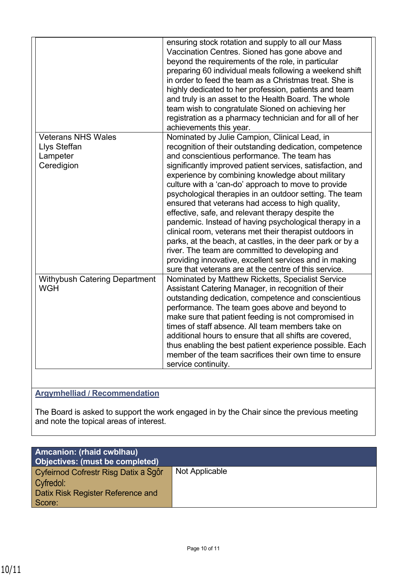|                                                                     | ensuring stock rotation and supply to all our Mass<br>Vaccination Centres. Sioned has gone above and<br>beyond the requirements of the role, in particular<br>preparing 60 individual meals following a weekend shift<br>in order to feed the team as a Christmas treat. She is<br>highly dedicated to her profession, patients and team<br>and truly is an asset to the Health Board. The whole<br>team wish to congratulate Sioned on achieving her<br>registration as a pharmacy technician and for all of her<br>achievements this year.                                                                                                                                                                                                                                                                                                                  |
|---------------------------------------------------------------------|---------------------------------------------------------------------------------------------------------------------------------------------------------------------------------------------------------------------------------------------------------------------------------------------------------------------------------------------------------------------------------------------------------------------------------------------------------------------------------------------------------------------------------------------------------------------------------------------------------------------------------------------------------------------------------------------------------------------------------------------------------------------------------------------------------------------------------------------------------------|
| <b>Veterans NHS Wales</b><br>Llys Steffan<br>Lampeter<br>Ceredigion | Nominated by Julie Campion, Clinical Lead, in<br>recognition of their outstanding dedication, competence<br>and conscientious performance. The team has<br>significantly improved patient services, satisfaction, and<br>experience by combining knowledge about military<br>culture with a 'can-do' approach to move to provide<br>psychological therapies in an outdoor setting. The team<br>ensured that veterans had access to high quality,<br>effective, safe, and relevant therapy despite the<br>pandemic. Instead of having psychological therapy in a<br>clinical room, veterans met their therapist outdoors in<br>parks, at the beach, at castles, in the deer park or by a<br>river. The team are committed to developing and<br>providing innovative, excellent services and in making<br>sure that veterans are at the centre of this service. |
| <b>Withybush Catering Department</b><br><b>WGH</b>                  | Nominated by Matthew Ricketts, Specialist Service<br>Assistant Catering Manager, in recognition of their<br>outstanding dedication, competence and conscientious<br>performance. The team goes above and beyond to<br>make sure that patient feeding is not compromised in<br>times of staff absence. All team members take on<br>additional hours to ensure that all shifts are covered.<br>thus enabling the best patient experience possible. Each<br>member of the team sacrifices their own time to ensure<br>service continuity.                                                                                                                                                                                                                                                                                                                        |

## **Argymhelliad / Recommendation**

The Board is asked to support the work engaged in by the Chair since the previous meeting and note the topical areas of interest.

| <b>Amcanion: (rhaid cwblhau)</b><br>Objectives: (must be completed) |                |
|---------------------------------------------------------------------|----------------|
| Cyfeirnod Cofrestr Risg Datix a Sgôr                                | Not Applicable |
| Cyfredol:                                                           |                |
| <b>Datix Risk Register Reference and</b>                            |                |
| Score:                                                              |                |